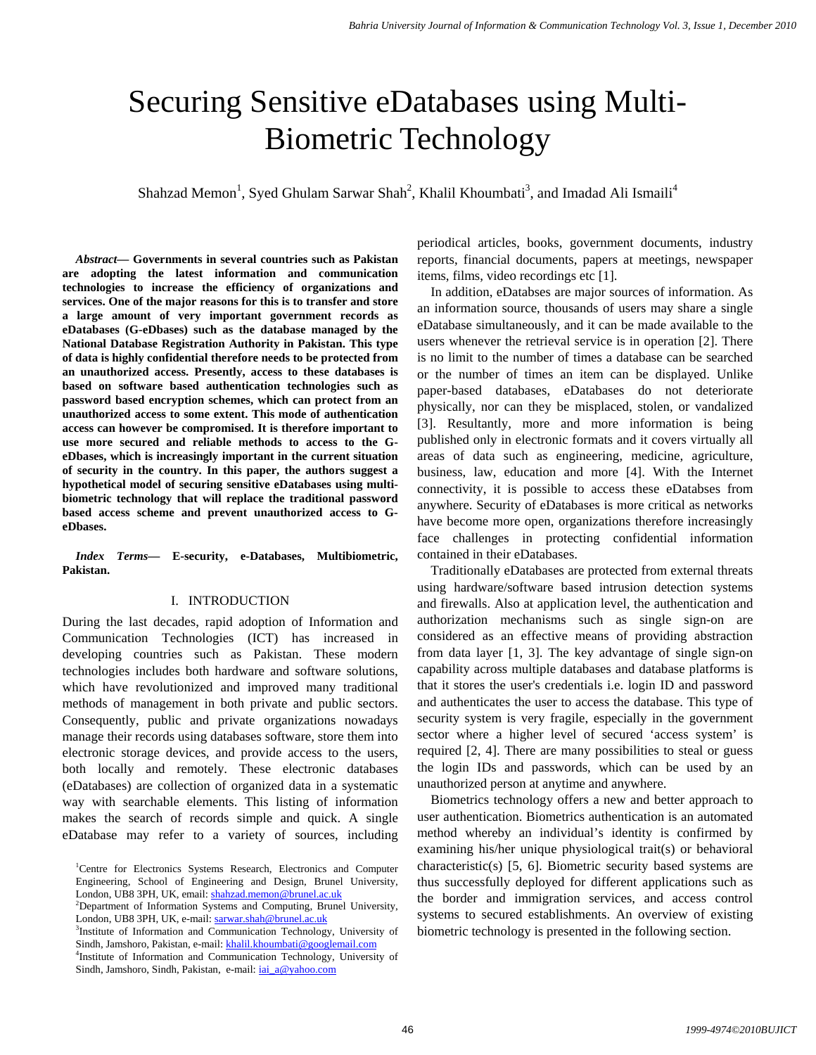# Securing Sensitive eDatabases using Multi-Biometric Technology

Shahzad Memon<sup>1</sup>, Syed Ghulam Sarwar Shah<sup>2</sup>, Khalil Khoumbati<sup>3</sup>, and Imadad Ali Ismaili<sup>4</sup>

*Abstract***— Governments in several countries such as Pakistan are adopting the latest information and communication technologies to increase the efficiency of organizations and services. One of the major reasons for this is to transfer and store a large amount of very important government records as eDatabases (G-eDbases) such as the database managed by the National Database Registration Authority in Pakistan. This type of data is highly confidential therefore needs to be protected from an unauthorized access. Presently, access to these databases is based on software based authentication technologies such as password based encryption schemes, which can protect from an unauthorized access to some extent. This mode of authentication access can however be compromised. It is therefore important to use more secured and reliable methods to access to the GeDbases, which is increasingly important in the current situation of security in the country. In this paper, the authors suggest a hypothetical model of securing sensitive eDatabases using multibiometric technology that will replace the traditional password based access scheme and prevent unauthorized access to GeDbases.**

*Index Terms***— E-security, e-Databases, Multibiometric, Pakistan.** 

## I. INTRODUCTION

During the last decades, rapid adoption of Information and Communication Technologies (ICT) has increased in developing countries such as Pakistan. These modern technologies includes both hardware and software solutions, which have revolutionized and improved many traditional methods of management in both private and public sectors. Consequently, public and private organizations nowadays manage their records using databases software, store them into electronic storage devices, and provide access to the users, both locally and remotely. These electronic databases (eDatabases) are collection of organized data in a systematic way with searchable elements. This listing of information makes the search of records simple and quick. A single eDatabase may refer to a variety of sources, including periodical articles, books, government documents, industry reports, financial documents, papers at meetings, newspaper items, films, video recordings etc [1].

In addition, eDatabses are major sources of information. As an information source, thousands of users may share a single eDatabase simultaneously, and it can be made available to the users whenever the retrieval service is in operation [2]. There is no limit to the number of times a database can be searched or the number of times an item can be displayed. Unlike paper-based databases, eDatabases do not deteriorate physically, nor can they be misplaced, stolen, or vandalized [3]. Resultantly, more and more information is being published only in electronic formats and it covers virtually all areas of data such as engineering, medicine, agriculture, business, law, education and more [4]. With the Internet connectivity, it is possible to access these eDatabses from anywhere. Security of eDatabases is more critical as networks have become more open, organizations therefore increasingly face challenges in protecting confidential information contained in their eDatabases.

Traditionally eDatabases are protected from external threats using hardware/software based intrusion detection systems and firewalls. Also at application level, the authentication and authorization mechanisms such as single sign-on are considered as an effective means of providing abstraction from data layer [1, 3]. The key advantage of single sign-on capability across multiple databases and database platforms is that it stores the user's credentials i.e. login ID and password and authenticates the user to access the database. This type of security system is very fragile, especially in the government sector where a higher level of secured 'access system' is required [2, 4]. There are many possibilities to steal or guess the login IDs and passwords, which can be used by an unauthorized person at anytime and anywhere.

Biometrics technology offers a new and better approach to user authentication. Biometrics authentication is an automated method whereby an individual's identity is confirmed by examining his/her unique physiological trait(s) or behavioral characteristic(s) [5, 6]. Biometric security based systems are thus successfully deployed for different applications such as the border and immigration services, and access control systems to secured establishments. An overview of existing biometric technology is presented in the following section.

<sup>&</sup>lt;sup>1</sup>Centre for Electronics Systems Research, Electronics and Computer Engineering, School of Engineering and Design, Brunel University, London, UB8 3PH, UK, email: shahzad.memon@brunel.ac.uk 2

<sup>&</sup>lt;sup>2</sup>Department of Information Systems and Computing, Brunel University, London, UB8 3PH, UK, e-mail: sarwar.shah@brunel.ac.uk

<sup>&</sup>lt;sup>3</sup>Institute of Information and Communication Technology, University of Sindh, Jamshoro, Pakistan, e-mail: khalil.khoumbati@googlemail.com

<sup>&</sup>lt;sup>4</sup>Institute of Information and Communication Technology, University of Sindh, Jamshoro, Sindh, Pakistan, e-mail: iai\_a@yahoo.com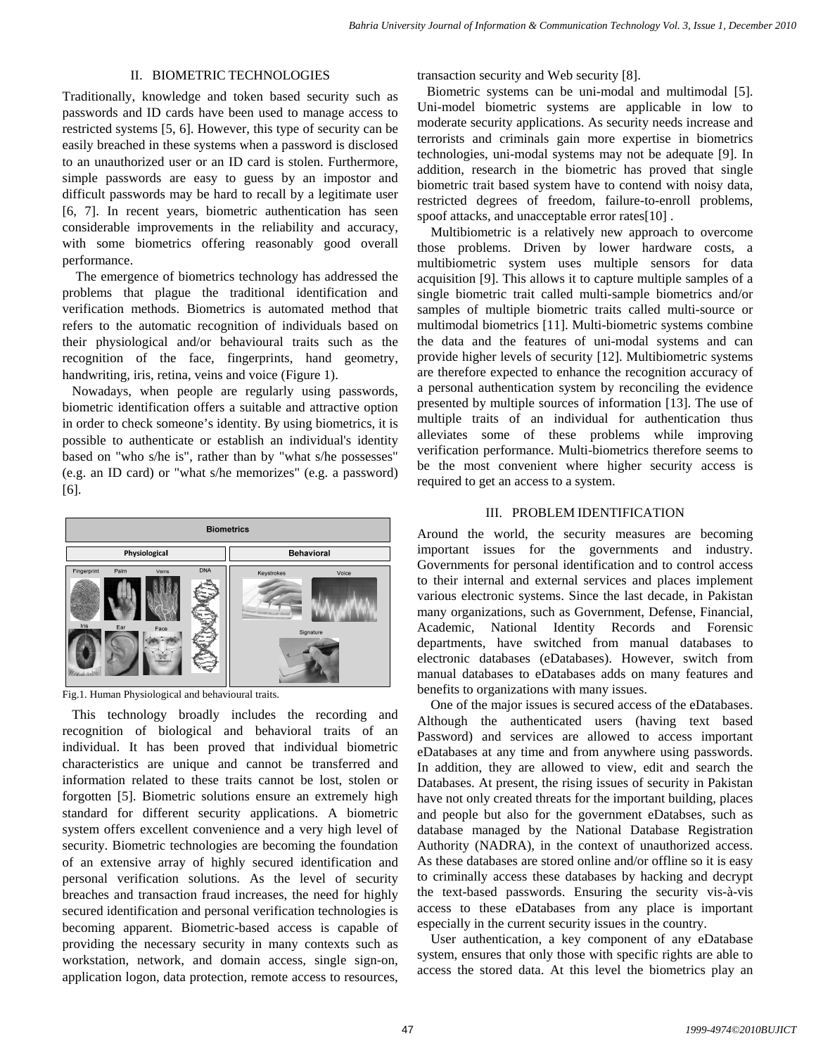## II. BIOMETRIC TECHNOLOGIES

Traditionally, knowledge and token based security such as passwords and ID cards have been used to manage access to restricted systems [5, 6]. However, this type of security can be easily breached in these systems when a password is disclosed to an unauthorized user or an ID card is stolen. Furthermore, simple passwords are easy to guess by an impostor and difficult passwords may be hard to recall by a legitimate user [6, 7]. In recent years, biometric authentication has seen considerable improvements in the reliability and accuracy, with some biometrics offering reasonably good overall performance.

The emergence of biometrics technology has addressed the problems that plague the traditional identification and verification methods. Biometrics is automated method that refers to the automatic recognition of individuals based on their physiological and/or behavioural traits such as the recognition of the face, fingerprints, hand geometry, handwriting, iris, retina, veins and voice (Figure 1).

Nowadays, when people are regularly using passwords, biometric identification offers a suitable and attractive option in order to check someone's identity. By using biometrics, it is possible to authenticate or establish an individual's identity based on "who s/he is", rather than by "what s/he possesses" (e.g. an ID card) or "what s/he memorizes" (e.g. a password) [6].



Fig.1. Human Physiological and behavioural traits.

This technology broadly includes the recording and recognition of biological and behavioral traits of an individual. It has been proved that individual biometric characteristics are unique and cannot be transferred and information related to these traits cannot be lost, stolen or forgotten [5]. Biometric solutions ensure an extremely high standard for different security applications. A biometric system offers excellent convenience and a very high level of security. Biometric technologies are becoming the foundation of an extensive array of highly secured identification and personal verification solutions. As the level of security breaches and transaction fraud increases, the need for highly secured identification and personal verification technologies is becoming apparent. Biometric-based access is capable of providing the necessary security in many contexts such as workstation, network, and domain access, single sign-on, application logon, data protection, remote access to resources, transaction security and Web security [8].

Biometric systems can be uni-modal and multimodal [5]. Uni-model biometric systems are applicable in low to moderate security applications. As security needs increase and terrorists and criminals gain more expertise in biometrics technologies, uni-modal systems may not be adequate [9]. In addition, research in the biometric has proved that single biometric trait based system have to contend with noisy data, restricted degrees of freedom, failure-to-enroll problems, spoof attacks, and unacceptable error rates[10] .

Multibiometric is a relatively new approach to overcome those problems. Driven by lower hardware costs, a multibiometric system uses multiple sensors for data acquisition [9]. This allows it to capture multiple samples of a single biometric trait called multi-sample biometrics and/or samples of multiple biometric traits called multi-source or multimodal biometrics [11]. Multi-biometric systems combine the data and the features of uni-modal systems and can provide higher levels of security [12]. Multibiometric systems are therefore expected to enhance the recognition accuracy of a personal authentication system by reconciling the evidence presented by multiple sources of information [13]. The use of multiple traits of an individual for authentication thus alleviates some of these problems while improving verification performance. Multi-biometrics therefore seems to be the most convenient where higher security access is required to get an access to a system.

## III. PROBLEM IDENTIFICATION

Around the world, the security measures are becoming important issues for the governments and industry. Governments for personal identification and to control access to their internal and external services and places implement various electronic systems. Since the last decade, in Pakistan many organizations, such as Government, Defense, Financial, Academic, National Identity Records and Forensic departments, have switched from manual databases to electronic databases (eDatabases). However, switch from manual databases to eDatabases adds on many features and benefits to organizations with many issues.

One of the major issues is secured access of the eDatabases. Although the authenticated users (having text based Password) and services are allowed to access important eDatabases at any time and from anywhere using passwords. In addition, they are allowed to view, edit and search the Databases. At present, the rising issues of security in Pakistan have not only created threats for the important building, places and people but also for the government eDatabses, such as database managed by the National Database Registration Authority (NADRA), in the context of unauthorized access. As these databases are stored online and/or offline so it is easy to criminally access these databases by hacking and decrypt the text-based passwords. Ensuring the security vis-à-vis access to these eDatabases from any place is important especially in the current security issues in the country.

User authentication, a key component of any eDatabase system, ensures that only those with specific rights are able to access the stored data. At this level the biometrics play an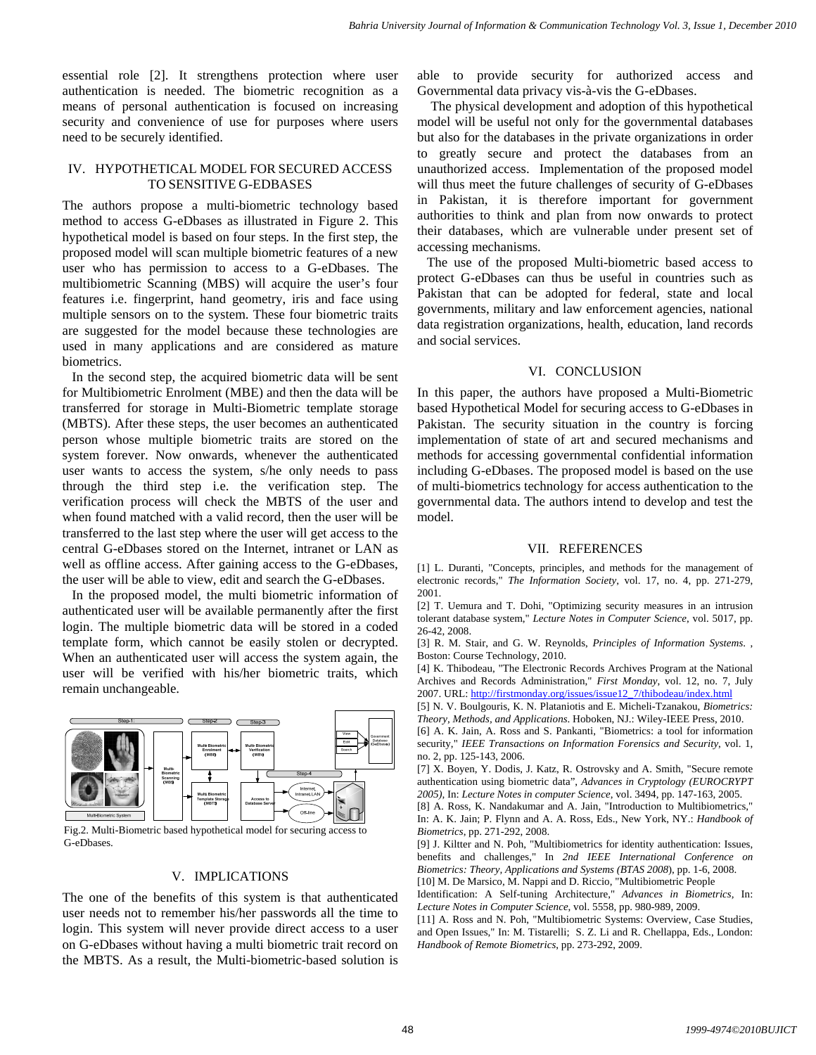essential role [2]. It strengthens protection where user authentication is needed. The biometric recognition as a means of personal authentication is focused on increasing security and convenience of use for purposes where users need to be securely identified.

## IV. HYPOTHETICAL MODEL FOR SECURED ACCESS TO SENSITIVE G-EDBASES

The authors propose a multi-biometric technology based method to access G-eDbases as illustrated in Figure 2. This hypothetical model is based on four steps. In the first step, the proposed model will scan multiple biometric features of a new user who has permission to access to a G-eDbases. The multibiometric Scanning (MBS) will acquire the user's four features i.e. fingerprint, hand geometry, iris and face using multiple sensors on to the system. These four biometric traits are suggested for the model because these technologies are used in many applications and are considered as mature biometrics.

In the second step, the acquired biometric data will be sent for Multibiometric Enrolment (MBE) and then the data will be transferred for storage in Multi-Biometric template storage (MBTS). After these steps, the user becomes an authenticated person whose multiple biometric traits are stored on the system forever. Now onwards, whenever the authenticated user wants to access the system, s/he only needs to pass through the third step i.e. the verification step. The verification process will check the MBTS of the user and when found matched with a valid record, then the user will be transferred to the last step where the user will get access to the central G-eDbases stored on the Internet, intranet or LAN as well as offline access. After gaining access to the G-eDbases, the user will be able to view, edit and search the G-eDbases.

In the proposed model, the multi biometric information of authenticated user will be available permanently after the first login. The multiple biometric data will be stored in a coded template form, which cannot be easily stolen or decrypted. When an authenticated user will access the system again, the user will be verified with his/her biometric traits, which remain unchangeable.



Fig.2. Multi-Biometric based hypothetical model for securing access to G-eDbases.

#### V. IMPLICATIONS

The one of the benefits of this system is that authenticated user needs not to remember his/her passwords all the time to login. This system will never provide direct access to a user on G-eDbases without having a multi biometric trait record on the MBTS. As a result, the Multi-biometric-based solution is

able to provide security for authorized access and Governmental data privacy vis-à-vis the G-eDbases.

The physical development and adoption of this hypothetical model will be useful not only for the governmental databases but also for the databases in the private organizations in order to greatly secure and protect the databases from an unauthorized access. Implementation of the proposed model will thus meet the future challenges of security of G-eDbases in Pakistan, it is therefore important for government authorities to think and plan from now onwards to protect their databases, which are vulnerable under present set of accessing mechanisms.

The use of the proposed Multi-biometric based access to protect G-eDbases can thus be useful in countries such as Pakistan that can be adopted for federal, state and local governments, military and law enforcement agencies, national data registration organizations, health, education, land records and social services.

#### VI. CONCLUSION

In this paper, the authors have proposed a Multi-Biometric based Hypothetical Model for securing access to G-eDbases in Pakistan. The security situation in the country is forcing implementation of state of art and secured mechanisms and methods for accessing governmental confidential information including G-eDbases. The proposed model is based on the use of multi-biometrics technology for access authentication to the governmental data. The authors intend to develop and test the model.

#### VII. REFERENCES

[1] L. Duranti, "Concepts, principles, and methods for the management of electronic records," *The Information Society*, vol. 17, no. 4, pp. 271-279, 2001.

[2] T. Uemura and T. Dohi, "Optimizing security measures in an intrusion tolerant database system," *Lecture Notes in Computer Science*, vol. 5017, pp. 26-42, 2008.

[3] R. M. Stair, and G. W. Reynolds, *Principles of Information Systems*. , Boston: Course Technology, 2010.

[4] K. Thibodeau, "The Electronic Records Archives Program at the National Archives and Records Administration," *First Monday*, vol. 12, no. 7, July 2007. URL: http://firstmonday.org/issues/issue12\_7/thibodeau/index.html

[5] N. V. Boulgouris, K. N. Plataniotis and E. Micheli-Tzanakou, *Biometrics: Theory, Methods, and Applications*. Hoboken, NJ.: Wiley-IEEE Press, 2010.

[6] A. K. Jain, A. Ross and S. Pankanti, "Biometrics: a tool for information security," *IEEE Transactions on Information Forensics and Security*, vol. 1, no. 2, pp. 125-143, 2006.

[7] X. Boyen, Y. Dodis, J. Katz, R. Ostrovsky and A. Smith, "Secure remote authentication using biometric data", *Advances in Cryptology (EUROCRYPT 2005),* In: *Lecture Notes in computer Science*, vol. 3494, pp. 147-163, 2005.

[8] A. Ross, K. Nandakumar and A. Jain, "Introduction to Multibiometrics," In: A. K. Jain; P. Flynn and A. A. Ross, Eds., New York, NY.: *Handbook of Biometrics*, pp. 271-292, 2008.

[9] J. Kiltter and N. Poh, "Multibiometrics for identity authentication: Issues, benefits and challenges," In *2nd IEEE International Conference on Biometrics: Theory, Applications and Systems (BTAS 2008*), pp. 1-6, 2008. [10] M. De Marsico, M. Nappi and D. Riccio, "Multibiometric People

Identification: A Self-tuning Architecture," *Advances in Biometrics,* In: *Lecture Notes in Computer Science*, vol. 5558, pp. 980-989, 2009.

[11] A. Ross and N. Poh, "Multibiometric Systems: Overview, Case Studies, and Open Issues," In: M. Tistarelli; S. Z. Li and R. Chellappa, Eds., London: *Handbook of Remote Biometrics*, pp. 273-292, 2009.